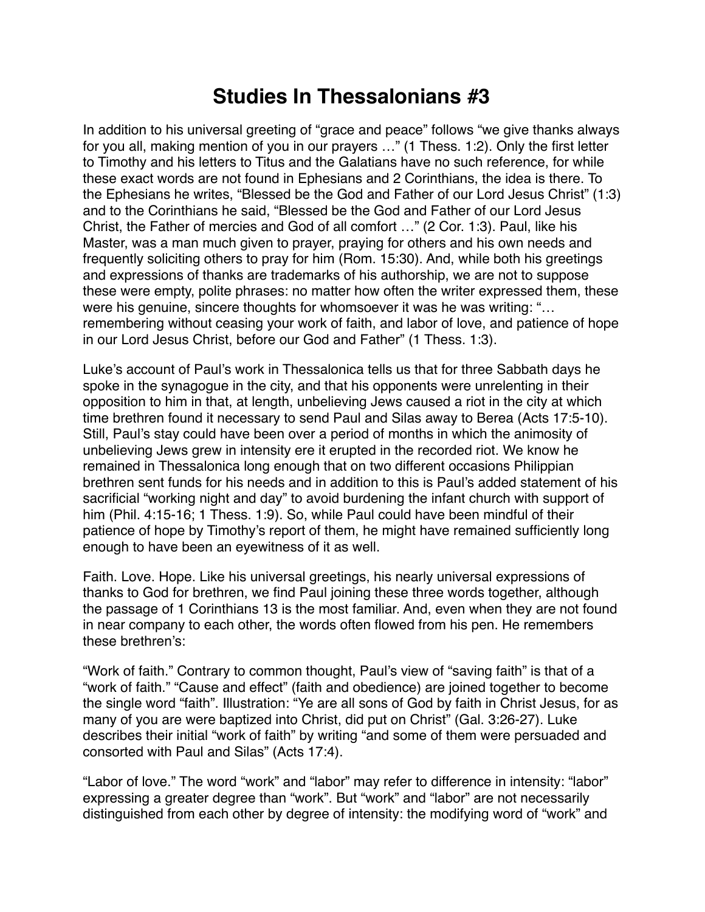## **Studies In Thessalonians #3**

In addition to his universal greeting of "grace and peace" follows "we give thanks always for you all, making mention of you in our prayers …" (1 Thess. 1:2). Only the first letter to Timothy and his letters to Titus and the Galatians have no such reference, for while these exact words are not found in Ephesians and 2 Corinthians, the idea is there. To the Ephesians he writes, "Blessed be the God and Father of our Lord Jesus Christ" (1:3) and to the Corinthians he said, "Blessed be the God and Father of our Lord Jesus Christ, the Father of mercies and God of all comfort …" (2 Cor. 1:3). Paul, like his Master, was a man much given to prayer, praying for others and his own needs and frequently soliciting others to pray for him (Rom. 15:30). And, while both his greetings and expressions of thanks are trademarks of his authorship, we are not to suppose these were empty, polite phrases: no matter how often the writer expressed them, these were his genuine, sincere thoughts for whomsoever it was he was writing: "... remembering without ceasing your work of faith, and labor of love, and patience of hope in our Lord Jesus Christ, before our God and Father" (1 Thess. 1:3).

Luke's account of Paul's work in Thessalonica tells us that for three Sabbath days he spoke in the synagogue in the city, and that his opponents were unrelenting in their opposition to him in that, at length, unbelieving Jews caused a riot in the city at which time brethren found it necessary to send Paul and Silas away to Berea (Acts 17:5-10). Still, Paul's stay could have been over a period of months in which the animosity of unbelieving Jews grew in intensity ere it erupted in the recorded riot. We know he remained in Thessalonica long enough that on two different occasions Philippian brethren sent funds for his needs and in addition to this is Paul's added statement of his sacrificial "working night and day" to avoid burdening the infant church with support of him (Phil. 4:15-16; 1 Thess. 1:9). So, while Paul could have been mindful of their patience of hope by Timothy's report of them, he might have remained sufficiently long enough to have been an eyewitness of it as well.

Faith. Love. Hope. Like his universal greetings, his nearly universal expressions of thanks to God for brethren, we find Paul joining these three words together, although the passage of 1 Corinthians 13 is the most familiar. And, even when they are not found in near company to each other, the words often flowed from his pen. He remembers these brethren's:

"Work of faith." Contrary to common thought, Paul's view of "saving faith" is that of a "work of faith." "Cause and effect" (faith and obedience) are joined together to become the single word "faith". Illustration: "Ye are all sons of God by faith in Christ Jesus, for as many of you are were baptized into Christ, did put on Christ" (Gal. 3:26-27). Luke describes their initial "work of faith" by writing "and some of them were persuaded and consorted with Paul and Silas" (Acts 17:4).

"Labor of love." The word "work" and "labor" may refer to difference in intensity: "labor" expressing a greater degree than "work". But "work" and "labor" are not necessarily distinguished from each other by degree of intensity: the modifying word of "work" and